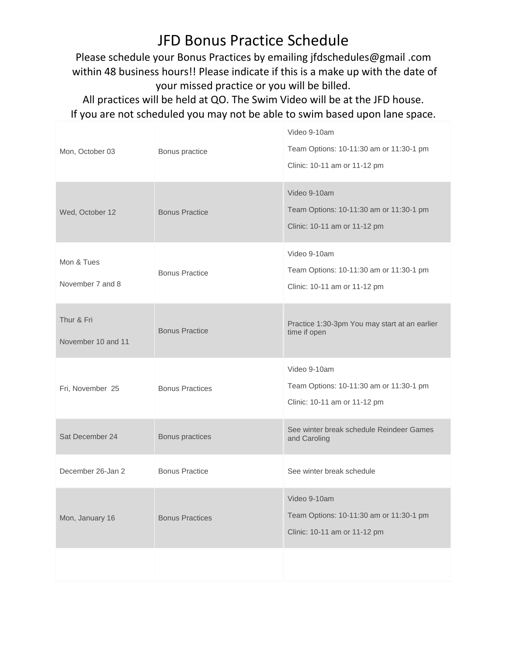## JFD Bonus Practice Schedule

Please schedule your Bonus Practices by emailing jfdschedules@gmail .com within 48 business hours!! Please indicate if this is a make up with the date of your missed practice or you will be billed.

All practices will be held at QO. The Swim Video will be at the JFD house. If you are not scheduled you may not be able to swim based upon lane space.

| Mon, October 03                  | Bonus practice         | Video 9-10am<br>Team Options: 10-11:30 am or 11:30-1 pm<br>Clinic: 10-11 am or 11-12 pm |
|----------------------------------|------------------------|-----------------------------------------------------------------------------------------|
| Wed, October 12                  | <b>Bonus Practice</b>  | Video 9-10am<br>Team Options: 10-11:30 am or 11:30-1 pm<br>Clinic: 10-11 am or 11-12 pm |
| Mon & Tues<br>November 7 and 8   | <b>Bonus Practice</b>  | Video 9-10am<br>Team Options: 10-11:30 am or 11:30-1 pm<br>Clinic: 10-11 am or 11-12 pm |
| Thur & Fri<br>November 10 and 11 | <b>Bonus Practice</b>  | Practice 1:30-3pm You may start at an earlier<br>time if open                           |
| Fri, November 25                 | <b>Bonus Practices</b> | Video 9-10am<br>Team Options: 10-11:30 am or 11:30-1 pm<br>Clinic: 10-11 am or 11-12 pm |
| Sat December 24                  | Bonus practices        | See winter break schedule Reindeer Games<br>and Caroling                                |
| December 26-Jan 2                | <b>Bonus Practice</b>  | See winter break schedule                                                               |
| Mon, January 16                  | <b>Bonus Practices</b> | Video 9-10am<br>Team Options: 10-11:30 am or 11:30-1 pm<br>Clinic: 10-11 am or 11-12 pm |
|                                  |                        |                                                                                         |